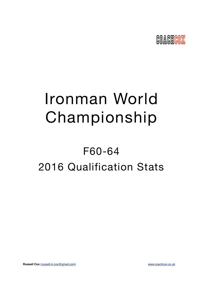

# Ironman World Championship

## F60-64 2016 Qualification Stats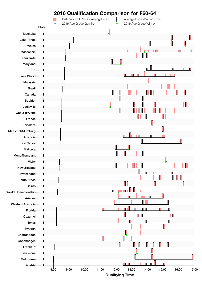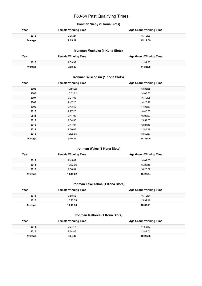## F60-64 Past Qualifying Times

## **Ironman Vichy (1 Kona Slots)**

| Year    | <b>Female Winning Time</b> | <b>Age Group Winning Time</b> |
|---------|----------------------------|-------------------------------|
| 2015    | 9:25:27                    | 15:12:09                      |
| Average | 9:25:27                    | 15:12:09                      |

## **Ironman Muskoka (1 Kona Slots)**

| Year    | <b>Female Winning Time</b> | <b>Age Group Winning Time</b> |
|---------|----------------------------|-------------------------------|
| 2015    | 9:53:37                    | 11:34:30                      |
| Average | 9:53:37                    | 11:34:30                      |

## **Ironman Wisconsin (1 Kona Slots)**

| Year    | <b>Female Winning Time</b> | <b>Age Group Winning Time</b> |
|---------|----------------------------|-------------------------------|
| 2005    | 10:11:22                   | 13:36:55                      |
| 2006    | 10:01:22                   | 14:03:33                      |
| 2007    | 9:37:03                    | 16:49:08                      |
| 2008    | 9:47:25                    | 14:26:28                      |
| 2009    | 9:43:59                    | 14:33:37                      |
| 2010    | 9:27:26                    | 14:40:35                      |
| 2011    | 9:41:03                    | 16:05:57                      |
| 2012    | 9:34:35                    | 15:59:55                      |
| 2013    | 9:47:07                    | 13:34:10                      |
| 2014    | 9:30:08                    | 12:44:48                      |
| 2015    | 10:08:05                   | 13:50:57                      |
| Average | 9:46:19                    | 14:35:05                      |

## **Ironman Wales (1 Kona Slots)**

| Year    | <b>Female Winning Time</b> | <b>Age Group Winning Time</b> |
|---------|----------------------------|-------------------------------|
| 2012    | 9:45:09                    | 14:09:05                      |
| 2014    | 10:57:26                   | 15:35:15                      |
| 2015    | 9:56:31                    | 16:26:52                      |
| Average | 10:13:02                   | 15:23:44                      |

## **Ironman Lake Tahoe (1 Kona Slots)**

| Year    | <b>Female Winning Time</b> | <b>Age Group Winning Time</b> |
|---------|----------------------------|-------------------------------|
| 2013    | 9:58:53                    | 16:42:34                      |
| 2015    | 10:28:55                   | 15:32:48                      |
| Average | 10:13:54                   | 16:07:41                      |

## **Ironman Mallorca (1 Kona Slots)**

| Year    | <b>Female Winning Time</b> | <b>Age Group Winning Time</b> |
|---------|----------------------------|-------------------------------|
| 2014    | 9:24:17                    | 11:58:12                      |
| 2015    | 9:24:48                    | 12:49:00                      |
| Average | 9:24:32                    | 12:23:36                      |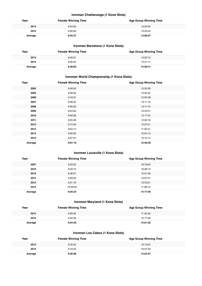## **Ironman Chattanooga (1 Kona Slots)**

| Year    | <b>Female Winning Time</b> | <b>Age Group Winning Time</b> |
|---------|----------------------------|-------------------------------|
| 2014    | 8:54:55                    | 13:35:32                      |
| 2015    | 8:56:00                    | 12:40:43                      |
| Average | 8:55:27                    | 13:08:07                      |

## **Ironman Barcelona (1 Kona Slots)**

| Year    | <b>Female Winning Time</b> | <b>Age Group Winning Time</b> |
|---------|----------------------------|-------------------------------|
| 2014    | 8:49:21                    | 14:20:12                      |
| 2015    | 8:46:44                    | 13:21:11                      |
| Average | 8:48:02                    | 13:50:41                      |

## **Ironman World Championship (1 Kona Slots)**

| Year    | <b>Female Winning Time</b> | <b>Age Group Winning Time</b> |
|---------|----------------------------|-------------------------------|
| 2004    | 9:50:04                    | 13:35:39                      |
| 2005    | 9:09:30                    | 12:34:52                      |
| 2006    | 9:18:31                    | 12:52:48                      |
| 2007    | 9:08:45                    | 13:11:19                      |
| 2008    | 9:06:23                    | 13:11:10                      |
| 2009    | 8:54:02                    | 12:42:51                      |
| 2010    | 8:58:36                    | 12:17:24                      |
| 2011    | 8:55:08                    | 12:20:16                      |
| 2012    | 9:15:54                    | 12:27:51                      |
| 2013    | 8:52:14                    | 11:50:41                      |
| 2014    | 9:00:55                    | 12:54:13                      |
| 2015    | 8:57:57                    | 12:10:14                      |
| Average | 9:07:19                    | 12:40:46                      |

## **Ironman Louisville (1 Kona Slots)**

| Year    | <b>Female Winning Time</b> | <b>Age Group Winning Time</b> |
|---------|----------------------------|-------------------------------|
| 2007    | 9:23:22                    | 16:18:54                      |
| 2010    | 9:33:15                    | 16:28:14                      |
| 2012    | 9:36:27                    | 14:31:39                      |
| 2013    | 9:29:02                    | 13:07:57                      |
| 2014    | 9:31:19                    | 13:43:01                      |
| 2015    | 10:00:04                   | 11:38:14                      |
| Average | 9:35:34                    | 14:17:59                      |

## **Ironman Maryland (1 Kona Slots)**

| Year    | <b>Female Winning Time</b> | <b>Age Group Winning Time</b> |
|---------|----------------------------|-------------------------------|
| 2014    | 9:26:02                    | 11:45:46                      |
| 2015    | 9:42:56                    | 12:17:59                      |
| Average | 9:34:29                    | 12:01:52                      |

## **Ironman Los Cabos (1 Kona Slots)**

| Year    | <b>Female Winning Time</b> | <b>Age Group Winning Time</b> |
|---------|----------------------------|-------------------------------|
| 2013    | 9:35:34                    | 16:12:24                      |
| 2014    | 9:16:43                    | 13:37:30                      |
| Average | 9:26:08                    | 14:54:57                      |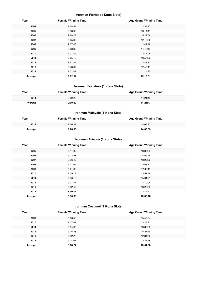## **Ironman Florida (1 Kona Slots)**

| Year    | <b>Female Winning Time</b> | <b>Age Group Winning Time</b> |
|---------|----------------------------|-------------------------------|
| 2004    | 9:28:54                    | 12:34:23                      |
| 2005    | 9:33:09                    | 13:14:41                      |
| 2006    | 9:28:28                    | 15:22:56                      |
| 2007    | 9:05:35                    | 12:12:06                      |
| 2008    | 9:07:48                    | 12:49:49                      |
| 2009    | 9:08:38                    | 14:48:43                      |
| 2010    | 9:07:49                    | 13:45:08                      |
| 2011    | 8:55:10                    | 13:57:20                      |
| 2012    | 8:51:35                    | 12:43:37                      |
| 2013    | 8:43:07                    | 12:48:41                      |
| 2014    | 8:01:47                    | 11:11:25                      |
| Average | 9:02:54                    | 13:13:31                      |

## **Ironman Fortaleza (1 Kona Slots)**

| Year    | <b>Female Winning Time</b> | <b>Age Group Winning Time</b> |
|---------|----------------------------|-------------------------------|
| 2014    | 9:09:20                    | 14:21:43                      |
| Average | 9:09:20                    | 14:21:43                      |

## **Ironman Malaysia (1 Kona Slots)**

| Year    | <b>Female Winning Time</b> | <b>Age Group Winning Time</b> |
|---------|----------------------------|-------------------------------|
| 2014    | 9:26:38                    | 14:06:33                      |
| Average | 9:26:38                    | 14:06:33                      |

## **Ironman Arizona (1 Kona Slots)**

| Year    | <b>Female Winning Time</b> | <b>Age Group Winning Time</b> |
|---------|----------------------------|-------------------------------|
| 2005    | 9:44:02                    | 13:37:52                      |
| 2006    | 9:12:53                    | 14:59:49                      |
| 2007    | 9:36:40                    | 13:20:30                      |
| 2008    | 9:21:06                    | 12:08:11                      |
| 2009    | 9:21:06                    | 12:08:11                      |
| 2010    | 9:09:19                    | 13:51:46                      |
| 2011    | 8:36:13                    | 15:01:01                      |
| 2012    | 9:01:41                    | 14:10:06                      |
| 2013    | 8:52:49                    | 13:20:38                      |
| 2014    | 8:50:41                    | 13:44:43                      |
| Average | 9:10:39                    | 13:38:16                      |

## **Ironman Cozumel (1 Kona Slots)**

| Year    | <b>Female Winning Time</b> | <b>Age Group Winning Time</b> |
|---------|----------------------------|-------------------------------|
| 2009    | 9:06:58                    | 15:40:54                      |
| 2010    | 9:07:08                    | 13:26:21                      |
| 2011    | 9:14:08                    | 13:38:38                      |
| 2012    | 9:15:38                    | 15:27:49                      |
| 2013    | 8:52:28                    | 12:34:30                      |
| 2014    | 9:14:07                    | 12:35:48                      |
| Average | 9:08:24                    | 13:54:00                      |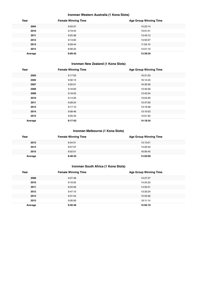## **Ironman Western Australia (1 Kona Slots)**

| Year    | <b>Female Winning Time</b> | <b>Age Group Winning Time</b> |
|---------|----------------------------|-------------------------------|
| 2004    | 9:03:37                    | 15:22:14                      |
| 2010    | 9:19:44                    | 13:01:41                      |
| 2011    | 9:25:38                    | 13:43:12                      |
| 2012    | 9:13:00                    | 13:55:07                      |
| 2013    | 8:59:44                    | 11:54:10                      |
| 2014    | 8:56:34                    | 14:01:10                      |
| Average | 9:09:42                    | 13:39:35                      |

## **Ironman New Zealand (1 Kona Slots)**

| Year    | <b>Female Winning Time</b> | <b>Age Group Winning Time</b> |
|---------|----------------------------|-------------------------------|
| 2003    | 9:17:55                    | 16:31:03                      |
| 2005    | 9:30:13                    | 16:14:45                      |
| 2007    | 9:20:01                    | 16:32:56                      |
| 2008    | 9:16:00                    | 13:40:39                      |
| 2009    | 9:18:25                    | 12:42:34                      |
| 2010    | 9:14:35                    | 13:04:30                      |
| 2011    | 9:28:24                    | 15:47:00                      |
| 2013    | 9:17:10                    | 13:19:48                      |
| 2014    | 9:08:46                    | 13:10:53                      |
| 2015    | 9:05:45                    | 12:01:35                      |
| Average | 9:17:43                    | 14:18:34                      |

## **Ironman Melbourne (1 Kona Slots)**

| Year    | <b>Female Winning Time</b> | <b>Age Group Winning Time</b> |
|---------|----------------------------|-------------------------------|
| 2012    | 8:34:51                    | 13:13:01                      |
| 2014    | 8:57:57                    | 14:20:42                      |
| 2015    | 8:52:51                    | 16:56:45                      |
| Average | 8:48:33                    | 14:50:09                      |

## **Ironman South Africa (1 Kona Slots)**

| Year    | <b>Female Winning Time</b> | <b>Age Group Winning Time</b> |
|---------|----------------------------|-------------------------------|
| 2008    | 9:27:48                    | 15:37:37                      |
| 2010    | 9:16:55                    | 14:24:23                      |
| 2011    | 8:33:56                    | 14:50:31                      |
| 2012    | 9:47:10                    | 13:33:24                      |
| 2014    | 9:31:54                    | 15:53:56                      |
| 2015    | 9:26:56                    | 16:11:14                      |
| Average | 9:20:46                    | 15:05:10                      |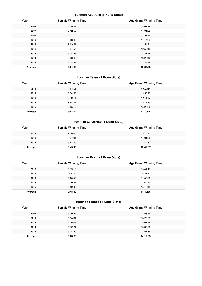## **Ironman Australia (1 Kona Slots)**

| Year    | <b>Female Winning Time</b> | <b>Age Group Winning Time</b> |
|---------|----------------------------|-------------------------------|
| 2006    | 9:19:44                    | 15:03:18                      |
| 2007    | 9:12:59                    | 15:01:02                      |
| 2009    | 8:57:10                    | 12:59:48                      |
| 2010    | 9:23:46                    | 14:14:33                      |
| 2011    | 9:29:54                    | 12:54:21                      |
| 2012    | 9:34:57                    | 12:57:12                      |
| 2013    | 9:34:55                    | 13:21:46                      |
| 2014    | 9:28:43                    | 13:28:40                      |
| 2015    | 9:38:24                    | 12:32:24                      |
| Average | 9:24:30                    | 13:37:00                      |

## **Ironman Texas (1 Kona Slots)**

| Year    | <b>Female Winning Time</b> | <b>Age Group Winning Time</b> |
|---------|----------------------------|-------------------------------|
| 2011    | 8:57:51                    | 12:57:11                      |
| 2012    | 8:54:58                    | 13:55:25                      |
| 2013    | 8:49:14                    | 12:11:17                      |
| 2014    | 8:54:42                    | 12:11:29                      |
| 2015    | 8:55:19                    | 15:23:30                      |
| Average | 8:54:24                    | 13:19:46                      |

## **Ironman Lanzarote (1 Kona Slots)**

| Year    | <b>Female Winning Time</b> | <b>Age Group Winning Time</b> |
|---------|----------------------------|-------------------------------|
| 2012    | 9:58:06                    | 13:20:45                      |
| 2013    | 9:37:34                    | 14:01:06                      |
| 2014    | 9:41:40                    | 13:44:32                      |
| Average | 9:45:46                    | 13:42:07                      |

## **Ironman Brazil (1 Kona Slots)**

| Year    | <b>Female Winning Time</b> | <b>Age Group Winning Time</b> |
|---------|----------------------------|-------------------------------|
| 2010    | 9:19:13                    | 15:44:47                      |
| 2011    | 12:40:07                   | 15:23:17                      |
| 2013    | 9:05:53                    | 14:55:32                      |
| 2014    | 8:56:32                    | 12:45:42                      |
| 2015    | 8:59:08                    | 15:18:42                      |
| Average | 9:48:10                    | 14:49:36                      |

## **Ironman France (1 Kona Slots)**

| Year    | <b>Female Winning Time</b> | <b>Age Group Winning Time</b> |
|---------|----------------------------|-------------------------------|
| 2009    | 9:30:29                    | 13:53:29                      |
| 2011    | 9:34:31                    | 13:25:38                      |
| 2012    | 9:16:05                    | 15:07:45                      |
| 2014    | 9:12:21                    | 13:35:55                      |
| 2015    | 9:24:50                    | 14:57:39                      |
| Average | 9:23:39                    | 14:12:05                      |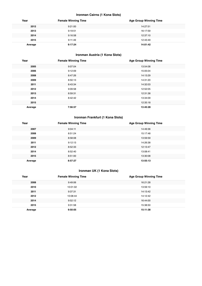## **Ironman Cairns (1 Kona Slots)**

| Year    | <b>Female Winning Time</b> | <b>Age Group Winning Time</b> |
|---------|----------------------------|-------------------------------|
| 2012    | 9:21:00                    | 14:27:51                      |
| 2013    | 9:19:51                    | 16:17:59                      |
| 2014    | 9:16:58                    | 12:37:10                      |
| 2015    | 9:11:49                    | 12:43:49                      |
| Average | 9:17:24                    | 14:01:42                      |

## **Ironman Austria (1 Kona Slots)**

| Year    | <b>Female Winning Time</b> | <b>Age Group Winning Time</b> |
|---------|----------------------------|-------------------------------|
| 2005    | 9:07:04                    | 13:54:08                      |
| 2006    | 9:12:09                    | 15:05:04                      |
| 2008    | 8:47:26                    | 14:13:29                      |
| 2009    | 8:50:13                    | 14:31:20                      |
| 2011    | 8:43:34                    | 14:32:03                      |
| 2012    | 9:09:58                    | 12:52:05                      |
| 2013    | 8:59:31                    | 12:31:38                      |
| 2014    | 8:42:42                    | 13:34:09                      |
| 2015    |                            | 12:35:18                      |
| Average | 7:56:57                    | 13:45:28                      |

## **Ironman Frankfurt (1 Kona Slots)**

| Year    | <b>Female Winning Time</b> | <b>Age Group Winning Time</b> |
|---------|----------------------------|-------------------------------|
| 2007    | 9:04:11                    | 14:49:36                      |
| 2008    | 8:51:24                    | 15:17:48                      |
| 2009    | 8:58:08                    | 13:59:59                      |
| 2011    | 9:12:13                    | 14:26:38                      |
| 2012    | 8:52:33                    | 12:13:47                      |
| 2014    | 8:52:40                    | 13:08:41                      |
| 2015    | 8:51:00                    | 13:30:08                      |
| Average | 8:57:27                    | 13:55:13                      |

## **Ironman UK (1 Kona Slots)**

| Year    | <b>Female Winning Time</b> | <b>Age Group Winning Time</b> |
|---------|----------------------------|-------------------------------|
| 2008    | 9:49:06                    | 16:21:28                      |
| 2010    | 10:01:02                   | 13:59:10                      |
| 2011    | 9:37:31                    | 14:13:42                      |
| 2012    | 10:08:44                   | 14:12:42                      |
| 2014    | 9:52:12                    | 16:44:00                      |
| 2015    | 9:31:58                    | 15:38:50                      |
| Average | 9:50:05                    | 15:11:38                      |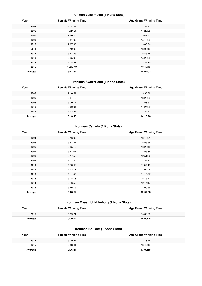## **Ironman Lake Placid (1 Kona Slots)**

| Year    | <b>Female Winning Time</b> | <b>Age Group Winning Time</b> |
|---------|----------------------------|-------------------------------|
| 2004    | 9:24:42                    | 13:26:21                      |
| 2006    | 10:11:35                   | 14:28:35                      |
| 2007    | 9:40:20                    | 13:47:31                      |
| 2008    | 9:51:00                    | 15:10:29                      |
| 2010    | 9:27:30                    | 13:00:34                      |
| 2011    | 9:19:03                    | 13:06:13                      |
| 2012    | 9:47:39                    | 15:46:18                      |
| 2013    | 9:35:06                    | 15:29:22                      |
| 2014    | 9:28:28                    | 12:36:30                      |
| 2015    | 10:13:19                   | 13:48:40                      |
| Average | 9:41:52                    | 14:04:03                      |

## **Ironman Switzerland (1 Kona Slots)**

| Year    | <b>Female Winning Time</b> | <b>Age Group Winning Time</b> |
|---------|----------------------------|-------------------------------|
| 2005    | 9:10:54                    | 15:35:36                      |
| 2006    | 9:24:18                    | 13:28:39                      |
| 2008    | 9:30:12                    | 13:53:52                      |
| 2010    | 9:00:04                    | 14:24:22                      |
| 2011    | 9:03:26                    | 13:29:43                      |
| Average | 9:13:46                    | 14:10:26                      |

## **Ironman Canada (1 Kona Slots)**

| Year    | <b>Female Winning Time</b> | <b>Age Group Winning Time</b> |
|---------|----------------------------|-------------------------------|
| 2004    | 9:16:02                    | 13:19:01                      |
| 2005    | 9:51:31                    | 15:56:55                      |
| 2006    | 9:25:13                    | 16:23:42                      |
| 2007    | 9:41:01                    | 12:56:34                      |
| 2008    | 9:17:58                    | 12:51:30                      |
| 2009    | 9:11:20                    | 14:25:12                      |
| 2010    | 9:13:46                    | 11:50:42                      |
| 2011    | 9:03:13                    | 14:04:04                      |
| 2012    | 9:44:58                    | 14:15:37                      |
| 2013    | 9:28:13                    | 15:15:27                      |
| 2014    | 9:46:58                    | 12:14:17                      |
| 2015    | 9:46:19                    | 14:00:59                      |
| Average | 9:28:52                    | 13:57:50                      |

## **Ironman Maastricht-Limburg (1 Kona Slots)**

| Year    | <b>Female Winning Time</b> | <b>Age Group Winning Time</b> |
|---------|----------------------------|-------------------------------|
| 2015    | 9:39:24                    | 15:00:28                      |
| Average | 9:39:24                    | 15:00:28                      |

## **Ironman Boulder (1 Kona Slots)**

| Year    | <b>Female Winning Time</b> | <b>Age Group Winning Time</b> |
|---------|----------------------------|-------------------------------|
| 2014    | 9:19:54                    | 12:13:24                      |
| 2015    | 9:53:41                    | 13:47:13                      |
| Average | 9:36:47                    | 13:00:18                      |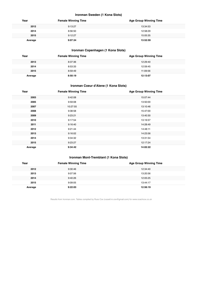## **Ironman Sweden (1 Kona Slots)**

| Year    | <b>Female Winning Time</b> | <b>Age Group Winning Time</b> |
|---------|----------------------------|-------------------------------|
| 2012    | 9:13:27                    | 13:34:53                      |
| 2014    | 8:56:50                    | 12:58:29                      |
| 2015    | 9:12:27                    | 15:05:35                      |
| Average | 9:07:34                    | 13:52:59                      |

## **Ironman Copenhagen (1 Kona Slots)**

| Year    | <b>Female Winning Time</b> | <b>Age Group Winning Time</b> |
|---------|----------------------------|-------------------------------|
| 2013    | 8:37:36                    | 12:29:40                      |
| 2014    | 8:53:33                    | 12:59:45                      |
| 2015    | 8:59:49                    | 11:09:56                      |
| Average | 8:50:19                    | 12:13:07                      |

## **Ironman Coeur d'Alene (1 Kona Slots)**

| Year    | <b>Female Winning Time</b> | <b>Age Group Winning Time</b> |
|---------|----------------------------|-------------------------------|
| 2003    | 9:42:08                    | 15:07:44                      |
| 2005    | 9:59:08                    | 13:50:00                      |
| 2007    | 10:27:55                   | 13:10:46                      |
| 2008    | 9:38:58                    | 15:47:00                      |
| 2009    | 9:23:21                    | 13:40:30                      |
| 2010    | 9:17:54                    | 13:19:57                      |
| 2011    | 9:16:40                    | 14:28:49                      |
| 2012    | 9:21:44                    | 14:48:11                      |
| 2013    | 9:16:02                    | 14:23:56                      |
| 2014    | 9:34:32                    | 13:31:54                      |
| 2015    | 9:23:27                    | 12:17:24                      |
| Average | 9:34:42                    | 14:02:22                      |

## **Ironman Mont-Tremblant (1 Kona Slots)**

| Year    | <b>Female Winning Time</b> | <b>Age Group Winning Time</b> |
|---------|----------------------------|-------------------------------|
| 2012    | 9:30:46                    | 12:34:40                      |
| 2013    | 9:07:56                    | 13:20:56                      |
| 2014    | 9:40:26                    | 12:05:25                      |
| 2015    | 9:09:05                    | 13:44:17                      |
| Average | 9:22:03                    | 12:56:19                      |

Results from Ironman.com. Tables compiled by Russ Cox (russell.m.cox@gmail.com) for www.coachcox.co.uk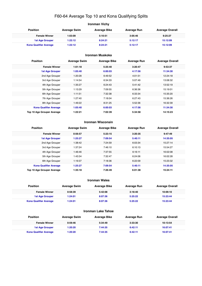## F60-64 Average Top 10 and Kona Qualifying Splits

| Ironman Vichy                 |                     |                     |                    |                        |  |
|-------------------------------|---------------------|---------------------|--------------------|------------------------|--|
| <b>Position</b>               | <b>Average Swim</b> | <b>Average Bike</b> | <b>Average Run</b> | <b>Average Overall</b> |  |
| <b>Female Winner</b>          | 1:03:09             | 5:10:51             | 3:05:46            | 9:25:27                |  |
| <b>1st Age Grouper</b>        | 1:22:12             | 8:24:21             | 5:12:17            | 15:12:09               |  |
| <b>Kona Qualifier Average</b> | 1:22:12             | 8:24:21             | 5:12:17            | 15:12:09               |  |

## **Ironman Muskoka**

| <b>Position</b>               | <b>Average Swim</b> | <b>Average Bike</b> | <b>Average Run</b> | <b>Average Overall</b> |
|-------------------------------|---------------------|---------------------|--------------------|------------------------|
| <b>Female Winner</b>          | 1:01:18             | 5:25:40             | 3:20:47            | 9:53:37                |
| <b>1st Age Grouper</b>        | 1:05:40             | 6:00:03             | 4:17:56            | 11:34:30               |
| 2nd Age Grouper               | 1:20:28             | 6:49:52             | 4:01:51            | 12:24:18               |
| 3rd Age Grouper               | 1:14:54             | 6:34:33             | 5:07:49            | 13:08:32               |
| 4th Age Grouper               | 1:35:27             | 6:24:43             | 5:41:42            | 13:52:19               |
| 5th Age Grouper               | 1:13:29             | 7:09:55             | 6:36:36            | 15:19:01               |
| 6th Age Grouper               | 1:11:51             | 7:32:38             | 6:33:34            | 15:35:20               |
| 7th Age Grouper               | 1:27:40             | 7:18:04             | 6:27:43            | 15:36:26               |
| 8th Age Grouper               | 1:49:22             | 8:31:25             | 5:52:36            | 16:32:39               |
| <b>Kona Qualifier Average</b> | 1:05:40             | 6:00:03             | 4:17:56            | 11:34:30               |
| Top 10 Age Grouper Average    | 1:22:21             | 7:02:39             | 5:34:58            | 14:15:23               |

#### **Ironman Wisconsin**

| <b>Position</b>               | <b>Average Swim</b> | <b>Average Bike</b> | <b>Average Run</b> | <b>Average Overall</b> |
|-------------------------------|---------------------|---------------------|--------------------|------------------------|
| <b>Female Winner</b>          | 0:56:57             | 5:23:15             | 3:20:35            | 9:47:49                |
| <b>1st Age Grouper</b>        | 1:25:27             | 7:09:54             | 5:40:11            | 14:35:05               |
| 2nd Age Grouper               | 1:38:42             | 7:24:59             | 6:03:34            | 15:27:14               |
| 3rd Age Grouper               | 1:37:24             | 7:46:10             | 6:10:13            | 15:54:27               |
| 4th Age Grouper               | 1:46:46             | 7:37:55             | 6:16:11            | 16:02:08               |
| 5th Age Grouper               | 1:43:34             | 7:32:47             | 6:24:06            | 16:02:28               |
| 6th Age Grouper               | 1:19:37             | 7:18:36             | 6:22:09            | 15:23:32               |
| <b>Kona Qualifier Average</b> | 1:25:27             | 7:09:54             | 5:40:11            | 14:35:05               |
| Top 10 Age Grouper Average    | 1:35:18             | 7:26:49             | 6:01:38            | 15:24:11               |

#### **Ironman Wales**

| <b>Position</b>               | <b>Average Swim</b> | <b>Average Bike</b> | Average Run | <b>Average Overall</b> |
|-------------------------------|---------------------|---------------------|-------------|------------------------|
| <b>Female Winner</b>          | 0:58:39             | 5:42:08             | 3:18:40     | 10:09:10               |
| <b>1st Age Grouper</b>        | 1:24:01             | 8:07:36             | 5:25:22     | 15:23:44               |
| <b>Kona Qualifier Average</b> | 1:24:01             | 8:07:36             | 5:25:22     | 15:23:44               |

## **Ironman Lake Tahoe**

| Position                      | <b>Average Swim</b> | <b>Average Bike</b> | Average Run | <b>Average Overall</b> |
|-------------------------------|---------------------|---------------------|-------------|------------------------|
| <b>Female Winner</b>          | 0:59:46             | 5:34:49             | 3:33:30     | 10:13:54               |
| <b>1st Age Grouper</b>        | 1:20:20             | 7:44:35             | 6:42:11     | 16:07:41               |
| <b>Kona Qualifier Average</b> | 1:20:20             | 7:44:35             | 6:42:11     | 16:07:41               |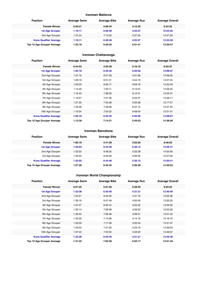#### **Ironman Mallorca**

| <b>Position</b>               | <b>Average Swim</b> | <b>Average Bike</b> | <b>Average Run</b> | <b>Average Overall</b> |
|-------------------------------|---------------------|---------------------|--------------------|------------------------|
| <b>Female Winner</b>          | 0:56:21             | 5:09:44             | 3:12:35            | 9:24:32                |
| <b>1st Age Grouper</b>        | 1:19:11             | 6:26:48             | 4:25:27            | 12:23:36               |
| 2nd Age Grouper               | 1:31:24             | 7:14:02             | 5:37:55            | 14:37:59               |
| <b>Kona Qualifier Average</b> | 1:19:11             | 6:26:48             | 4:25:27            | 12:23:36               |
| Top 10 Age Grouper Average    | 1:25:18             | 6:50:25             | 5:01:41            | 13:30:47               |

## **Ironman Chattanooga**

| <b>Position</b>               | <b>Average Swim</b> | <b>Average Bike</b> | <b>Average Run</b> | <b>Average Overall</b> |
|-------------------------------|---------------------|---------------------|--------------------|------------------------|
| <b>Female Winner</b>          | 0:44:53             | 4:55:39             | 3:10:10            | 8:55:27                |
| <b>1st Age Grouper</b>        | 1:05:18             | 6:45:35             | 5:05:05            | 13:08:07               |
| 2nd Age Grouper               | 1:27:19             | 6:51:09             | 5:01:56            | 13:38:05               |
| 3rd Age Grouper               | 1:09:16             | 6:51:21             | 5:44:19            | 13:57:44               |
| 4th Age Grouper               | 1:05:33             | 6:56:17             | 6:09:18            | 14:32:49               |
| 5th Age Grouper               | 1:13:46             | 7:03:11             | 6:13:27            | 14:56:45               |
| 6th Age Grouper               | 1:10:43             | 7:38:23             | 6:12:41            | 15:23:47               |
| 7th Age Grouper               | 1:15:57             | 7:51:36             | 6:03:47            | 15:38:17               |
| 8th Age Grouper               | 1:21:35             | 7:35:38             | 5:50:58            | 15:17:57               |
| 9th Age Grouper               | 1:23:58             | 7:39:06             | 6:07:14            | 15:27:45               |
| 10th Age Grouper              | 1:10:54             | 7:54:22             | 6:08:54            | 15:31:47               |
| <b>Kona Qualifier Average</b> | 1:05:18             | 6:45:35             | 5:05:05            | 13:08:07               |
| Top 10 Age Grouper Average    | 1:13:39             | 7:14:21             | 5:49:53            | 14:38:09               |

#### **Ironman Barcelona**

 $\label{eq:1}$ 

| <b>Position</b>               | <b>Average Swim</b> | <b>Average Bike</b> | <b>Average Run</b> | <b>Average Overall</b> |
|-------------------------------|---------------------|---------------------|--------------------|------------------------|
| <b>Female Winner</b>          | 1:00:19             | 4:41:29             | 3:03:25            | 8:48:02                |
| <b>1st Age Grouper</b>        | 1:25:03             | 6:44:46             | 5:30:12            | 13:50:41               |
| 2nd Age Grouper               | 1:33:32             | 6:48:20             | 5:52:28            | 14:25:56               |
| 3rd Age Grouper               | 1:20:03             | 6:40:49             | 6:56:59            | 15:07:02               |
| <b>Kona Qualifier Average</b> | 1:25:03             | 6:44:46             | 5:30:12            | 13:50:41               |
| Top 10 Age Grouper Average    | 1:27:26             | 6:45:24             | 5:56:28            | 14:20:03               |

## **Ironman World Championship**

| <b>Position</b>               | <b>Average Swim</b> | <b>Average Bike</b> | <b>Average Run</b> | <b>Average Overall</b> |
|-------------------------------|---------------------|---------------------|--------------------|------------------------|
| <b>Female Winner</b>          | 0:57:25             | 5:01:56             | 2:59:45            | 9:03:53                |
| <b>1st Age Grouper</b>        | 1:23:36             | 6:35:40             | 4:31:21            | 12:40:46               |
| 2nd Age Grouper               | 1:24:51             | 6:44:25             | 4:41:19            | 13:02:36               |
| 3rd Age Grouper               | 1:30:16             | 6:47:49             | 4:50:09            | 13:20:25               |
| 4th Age Grouper               | 1:27:47             | 6:50:15             | 5:03:23            | 13:33:20               |
| 5th Age Grouper               | 1:30:14             | 7:08:58             | 4:58:23            | 13:50:30               |
| 6th Age Grouper               | 1:30:42             | 7:08:48             | 5:08:41            | 14:01:43               |
| 7th Age Grouper               | 1:33:30             | 7:15:06             | 5:14:19            | 14:16:16               |
| 8th Age Grouper               | 1:35:29             | 7:17:38             | 5:22:44            | 14:31:37               |
| 9th Age Grouper               | 1:40:53             | 7:21:00             | 5:23:10            | 14:39:05               |
| 10th Age Grouper              | 1:37:43             | 7:22:50             | 5:33:20            | 14:49:57               |
| <b>Kona Qualifier Average</b> | 1:23:36             | 6:35:40             | 4:31:21            | 12:40:46               |
| Top 10 Age Grouper Average    | 1:31:22             | 7:02:56             | 5:04:17            | 13:51:45               |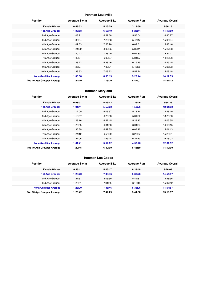#### **Ironman Louisville**

| <b>Position</b>               | <b>Average Swim</b> | <b>Average Bike</b> | <b>Average Run</b> | <b>Average Overall</b> |
|-------------------------------|---------------------|---------------------|--------------------|------------------------|
| <b>Female Winner</b>          | 0:53:32             | 5:16:29             | 3:19:50            | 9:36:15                |
| <b>1st Age Grouper</b>        | 1:33:58             | 6:58:19             | 5:23:44            | 14:17:59               |
| 2nd Age Grouper               | 1:03:21             | 6:57:58             | 5:56:04            | 14:40:27               |
| 3rd Age Grouper               | 1:35:04             | 7:20:58             | 5:47:47            | 15:05:24               |
| 4th Age Grouper               | 1:09:33             | 7:53:20             | 6:02:51            | 15:48:46               |
| 5th Age Grouper               | 1:21:22             | 8:02:55             | 5:30:41            | 15:17:58               |
| 6th Age Grouper               | 1:40:43             | 7:23:40             | 6:07:30            | 15:32:47               |
| 7th Age Grouper               | 1:40:54             | 6:30:57             | 5:34:07            | 14:15:36               |
| 8th Age Grouper               | 1:28:22             | 6:38:46             | 6:15:15            | 14:45:45               |
| 9th Age Grouper               | 1:25:27             | 7:33:01             | 5:48:38            | 15:06:33               |
| 10th Age Grouper              | 1:38:33             | 7:08:22             | 5:52:24            | 15:08:18               |
| <b>Kona Qualifier Average</b> | 1:33:58             | 6:58:19             | 5:23:44            | 14:17:59               |
| Top 10 Age Grouper Average    | 1:24:19             | 7:16:20             | 5:47:07            | 14:57:12               |

## **Ironman Maryland**

| <b>Position</b>               | <b>Average Swim</b> | <b>Average Bike</b> | <b>Average Run</b> | <b>Average Overall</b> |  |
|-------------------------------|---------------------|---------------------|--------------------|------------------------|--|
| <b>Female Winner</b>          | 0:53:01             | 5:06:43             | 3:26:46            | 9:34:29                |  |
| <b>1st Age Grouper</b>        | 1:01:41             | 5:52:02             | 4:53:26            | 12:01:52               |  |
| 2nd Age Grouper               | 1:12:00             | 6:03:37             | 5:13:14            | 12:48:10               |  |
| 3rd Age Grouper               | 1:16:07             | 6:20:03             | 5:31:22            | 13:29:33               |  |
| 4th Age Grouper               | 1:28:16             | 6:52:45             | 5:23:13            | 14:06:35               |  |
| 5th Age Grouper               | 1:20:55             | 6:31:53             | 6:04:24            | 14:16:15               |  |
| 6th Age Grouper               | 1:35:39             | 6:49:35             | 6:08:12            | 15:01:13               |  |
| 7th Age Grouper               | 1:24:19             | 6:55:29             | 6:28:37            | 15:23:21               |  |
| 8th Age Grouper               | 1:27:05             | 7:55:48             | 6:24:13            | 16:13:02               |  |
| <b>Kona Qualifier Average</b> | 1:01:41             | 5:52:02             | 4:53:26            | 12:01:52               |  |
| Top 10 Age Grouper Average    | 1:20:45             | 6:40:09             | 5:45:50            | 14:10:00               |  |

## **Ironman Los Cabos**

| <b>Position</b>               | <b>Average Swim</b> | <b>Average Bike</b> | <b>Average Run</b> | <b>Average Overall</b> |
|-------------------------------|---------------------|---------------------|--------------------|------------------------|
| <b>Female Winner</b>          | 0:53:11             | 5:06:17             | 6:23:48            | 9:26:08                |
| <b>1st Age Grouper</b>        | 1:28:20             | 7:36:46             | 5:33:26            | 14:54:57               |
| 2nd Age Grouper               | 1:21:31             | 8:03:30             | 5:42:31            | 15:28:36               |
| 3rd Age Grouper               | 1:28:51             | 7:11:55             | 6:12:18            | 15:07:42               |
| <b>Kona Qualifier Average</b> | 1:28:20             | 7:36:46             | 5:33:26            | 14:54:57               |
| Top 10 Age Grouper Average    | 1:25:42             | 7:42:29             | 5:44:50            | 15:10:57               |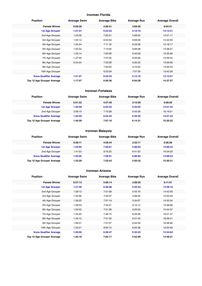#### **Ironman Florida**

| <b>Position</b>               | <b>Average Swim</b> | <b>Average Bike</b> | <b>Average Run</b> | <b>Average Overall</b> |
|-------------------------------|---------------------|---------------------|--------------------|------------------------|
| <b>Female Winner</b>          | 0:58:39             | 4:56:41             | 3:09:30            | 9:04:51                |
| <b>1st Age Grouper</b>        | 1:21:57             | 6:23:33             | 5:12:10            | 13:13:31               |
| 2nd Age Grouper               | 1:23:26             | 7:00:31             | 5:58:53            | 14:51:17               |
| 3rd Age Grouper               | 1:23:14             | 6:53:53             | 6:08:09            | 14:42:30               |
| 4th Age Grouper               | 1:24:34             | 7:11:16             | 6:23:56            | 15:18:17               |
| 5th Age Grouper               | 1:04:34             | 7:13:05             | 6:06:58            | 14:38:37               |
| 6th Age Grouper               | 1:23:14             | 7:05:06             | 6:42:08            | 15:25:58               |
| 7th Age Grouper               | 1:27:02             | 7:07:05             | 6:59:26            | 15:49:44               |
| 8th Age Grouper               | 0:54:24             | 7:25:08             | 6:35:33            | 15:09:56               |
| 9th Age Grouper               |                     | 7:53:50             | 5:10:02            | 13:30:43               |
| 10th Age Grouper              |                     | 6:25:09             | 7:07:39            | 13:42:39               |
| <b>Kona Qualifier Average</b> | 1:21:57             | 6:23:33             | 5:12:10            | 13:13:31               |
| Top 10 Age Grouper Average    | 1:17:57             | 6:56:36             | 6:04:28            | 14:37:57               |

#### **Ironman Fortaleza**

| <b>Position</b>               | <b>Average Swim</b> | <b>Average Bike</b> | <b>Average Run</b> | <b>Average Overall</b> |
|-------------------------------|---------------------|---------------------|--------------------|------------------------|
| <b>Female Winner</b>          | 0:51:52             | 4:57:46             | 3:15:59            | 9:09:20                |
| <b>1st Age Grouper</b>        | 1:32:59             | 6:54:42             | 5:45:25            | 14:21:43               |
| 2nd Age Grouper               | 2:06:19             | 7:19:38             | 6:43:38            | 16:19:21               |
| <b>Kona Qualifier Average</b> | 1:32:59             | 6:54:42             | 5:45:25            | 14:21:43               |
| Top 10 Age Grouper Average    | 1:49:39             | 7:07:10             | 6:14:31            | 15:20:32               |

## **Ironman Malaysia**

| <b>Position</b>               | <b>Average Swim</b> | <b>Average Bike</b> | <b>Average Run</b> | <b>Average Overall</b> |
|-------------------------------|---------------------|---------------------|--------------------|------------------------|
| <b>Female Winner</b>          | 0:59:11             | 4:58:44             | 3:23:11            | 9:26:38                |
| <b>1st Age Grouper</b>        | 1:25:05             | 7:29:01             | 5:00:03            | 14:06:33               |
| 2nd Age Grouper               | 1:41:53             | 8:16:25             | 6:41:02            | 16:54:29               |
| <b>Kona Qualifier Average</b> | 1:25:05             | 7:29:01             | 5:00:03            | 14:06:33               |
| Top 10 Age Grouper Average    | 1:33:29             | 7:52:43             | 5:50:32            | 15:30:31               |

#### **Ironman Arizona**

| <b>Position</b>               | <b>Average Swim</b> | <b>Average Bike</b> | <b>Average Run</b> | <b>Average Overall</b> |
|-------------------------------|---------------------|---------------------|--------------------|------------------------|
| <b>Female Winner</b>          | 0:57:13             | 5:00:14             | 3:08:59            | 9:11:01                |
| <b>1st Age Grouper</b>        | 1:21:46             | 6:26:08             | 5:35:42            | 13:38:16               |
| 2nd Age Grouper               | 1:39:13             | 7:01:08             | 5:43:16            | 14:42:59               |
| 3rd Age Grouper               | 1:33:36             | 7:05:07             | 5:58:20            | 15:00:33               |
| 4th Age Grouper               | 1:39:22             | 7:01:19             | 5:34:57            | 14:32:04               |
| 5th Age Grouper               | 1:26:53             | 7:34:21             | 6:15:14            | 15:39:08               |
| 6th Age Grouper               | 1:52:55             | 7:01:36             | 6:29:53            | 15:44:37               |
| 7th Age Grouper               | 1:44:22             | 7:49:15             | 6:29:29            | 16:21:47               |
| 8th Age Grouper               | 1:45:10             | 7:51:52             | 6:21:40            | 16:26:41               |
| 9th Age Grouper               | 1:56:31             | 7:57:07             | 6:22:29            | 16:36:06               |
| 10th Age Grouper              | 1:53:21             | 8:05:15             | 6:05:28            | 16:20:48               |
| <b>Kona Qualifier Average</b> | 1:20:50             | 6:26:47             | 5:32:23            | 13:34:04               |
| Top 10 Age Grouper Average    | 1:35:16             | 7:03:17             | 5:52:09            | 14:49:31               |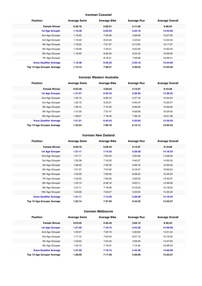#### **Ironman Cozumel**

| <b>Position</b>               | <b>Average Swim</b> | <b>Average Bike</b> | <b>Average Run</b> | <b>Average Overall</b> |
|-------------------------------|---------------------|---------------------|--------------------|------------------------|
| <b>Female Winner</b>          | 0:49:18             | 5:00:51             | 3:11:56            | 9:08:24                |
| <b>1st Age Grouper</b>        | 1:16:38             | 6:56:25             | 5:25:18            | 13:54:00               |
| 2nd Age Grouper               | 1:18:25             | 7:36:56             | 5:56:06            | 15:07:55               |
| 3rd Age Grouper               | 1:10:40             | 8:24:34             | 4:43:54            | 14:04:24               |
| 4th Age Grouper               | 1:16:22             | 7:31:37             | 6:10:05            | 15:17:07               |
| 5th Age Grouper               | 1:16:09             | 7:44:51             | 6:22:32            | 15:40:24               |
| 6th Age Grouper               | 1:16:00             | 8:26:35             | 6:24:43            | 16:28:39               |
| 7th Age Grouper               |                     | 8:18:41             | 7:09:08            | 16:39:41               |
| <b>Kona Qualifier Average</b> | 1:16:38             | 6:56:25             | 5:25:18            | 13:54:00               |
| Top 10 Age Grouper Average    | 1:12:12             | 7:36:51             | 5:49:53            | 14:55:36               |

#### **Ironman Western Australia**

| <b>Position</b>               | <b>Average Swim</b> | <b>Average Bike</b> | <b>Average Run</b> | <b>Average Overall</b> |  |
|-------------------------------|---------------------|---------------------|--------------------|------------------------|--|
| <b>Female Winner</b>          | 0:55:48             | 4:59:23             | 3:12:57            | 9:10:38                |  |
| <b>1st Age Grouper</b>        | 1:21:01             | 6:40:43             | 5:26:05            | 13:39:35               |  |
| 2nd Age Grouper               | 1:45:15             | 6:56:15             | 5:27:18            | 14:24:44               |  |
| 3rd Age Grouper               | 1:32:19             | 6:53:21             | 6:40:44            | 15:23:57               |  |
| 4th Age Grouper               | 1:39:10             | 7:10:42             | 6:46:03            | 15:56:25               |  |
| 5th Age Grouper               | 1:31:00             | 7:37:47             | 6:58:08            | 16:29:05               |  |
| 6th Age Grouper               | 1:38:01             | 7:18:43             | 7:38:18            | 16:51:58               |  |
| <b>Kona Qualifier Average</b> | 1:21:01             | 6:40:43             | 5:26:05            | 13:39:35               |  |
| Top 10 Age Grouper Average    | 1:33:24             | 7:00:18             | 6:12:14            | 15:02:45               |  |

#### **Ironman New Zealand**

| <b>Position</b>               | <b>Average Swim</b> | <b>Average Bike</b> | <b>Average Run</b> | <b>Average Overall</b> |
|-------------------------------|---------------------|---------------------|--------------------|------------------------|
| <b>Female Winner</b>          | 0:50:18             | 5:09:42             | 3:13:07            | 9:18:08                |
| <b>1st Age Grouper</b>        | 1:21:11             | 7:14:23             | 5:28:28            | 14:18:34               |
| 2nd Age Grouper               | 1:27:11             | 7:20:34             | 5:25:58            | 14:28:32               |
| 3rd Age Grouper               | 1:22:38             | 7:16:33             | 5:40:57            | 14:35:33               |
| 4th Age Grouper               | 1:28:45             | 7:42:32             | 5:56:16            | 15:26:03               |
| 5th Age Grouper               | 1:01:37             | 7:54:50             | 6:18:47            | 16:00:04               |
| 6th Age Grouper               | 1:23:59             | 7:59:30             | 6:09:24            | 15:49:34               |
| 7th Age Grouper               | 1:24:25             | 7:30:00             | 5:32:03            | 14:45:37               |
| 8th Age Grouper               | 1:23:12             | 6:48:16             | 6:05:11            | 14:48:36               |
| 9th Age Grouper               | 1:27:11             | 7:19:09             | 6:16:23            | 15:18:23               |
| 10th Age Grouper              | 1:34:06             | 7:52:27             | 5:45:50            | 15:32:22               |
| <b>Kona Qualifier Average</b> | 1:21:11             | 7:14:23             | 5:28:28            | 14:18:34               |
| Top 10 Age Grouper Average    | 1:22:14             | 7:27:03             | 5:43:52            | 14:52:27               |

## **Ironman Melbourne**

| <b>Position</b>               | <b>Average Swim</b> | <b>Average Bike</b> | <b>Average Run</b> | <b>Average Overall</b> |  |
|-------------------------------|---------------------|---------------------|--------------------|------------------------|--|
| <b>Female Winner</b>          | 0:53:25             | 4:46:42             | 3:04:12            | 8:48:33                |  |
| <b>1st Age Grouper</b>        | 1:27:50             | 7:18:15             | 5:45:26            | 14:50:09               |  |
| 2nd Age Grouper               | 1:25:07             | 7:20:10             | 5:30:00            | 14:31:44               |  |
| 3rd Age Grouper               | 1:17:12             | 7:03:45             | 6:37:13            | 15:16:02               |  |
| 4th Age Grouper               | 1:52:03             | 7:34:42             | 4:58:49            | 14:47:03               |  |
| 5th Age Grouper               | 1:33:10             | 7:19:37             | 7:12:34            | 16:26:03               |  |
| <b>Kona Qualifier Average</b> | 1:27:50             | 7:18:15             | 5:45:26            | 14:50:09               |  |
| Top 10 Age Grouper Average    | 1:28:09             | 7:17:26             | 5:58:00            | 15:02:07               |  |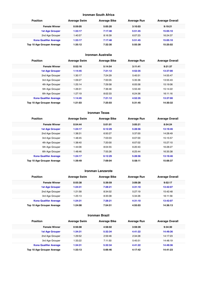#### **Ironman South Africa**

| <b>Position</b>               | <b>Average Swim</b> | <b>Average Bike</b> | <b>Average Run</b> | <b>Average Overall</b> |
|-------------------------------|---------------------|---------------------|--------------------|------------------------|
| <b>Female Winner</b>          | 0:59:05             | 5:05:20             | 3:10:03            | 9:19:21                |
| <b>1st Age Grouper</b>        | 1:33:17             | 7:17:48             | 5:51:45            | 15:05:10               |
| 2nd Age Grouper               | 1:40:57             | 8:16:39             | 6:07:23            | 16:24:37               |
| <b>Kona Qualifier Average</b> | 1:33:17             | 7:17:48             | 5:51:45            | 15:05:10               |
| Top 10 Age Grouper Average    | 1:35:12             | 7:32:30             | 5:55:39            | 15:25:02               |

## **Ironman Australia**

| <b>Position</b>               | <b>Average Swim</b> | <b>Average Bike</b> | <b>Average Run</b> | <b>Average Overall</b> |  |
|-------------------------------|---------------------|---------------------|--------------------|------------------------|--|
| <b>Female Winner</b>          | 0:52:16             | 5:14:54             | 3:11:41            | 9:21:37                |  |
| <b>1st Age Grouper</b>        | 1:14:45             | 7:21:12             | 4:52:35            | 13:37:00               |  |
| 2nd Age Grouper               | 1:30:17             | 7:24:29             | 5:45:51            | 14:55:47               |  |
| 3rd Age Grouper               | 1:09:27             | 7:00:05             | 5:35:36            | 13:55:43               |  |
| 4th Age Grouper               | 1:25:14             | 7:29:58             | 6:05:58            | 15:19:06               |  |
| 5th Age Grouper               | 1:26:31             | 7:36:46             | 5:55:49            | 15:14:22               |  |
| 6th Age Grouper               | 1:27:19             | 8:02:33             | 6:24:36            | 16:11:16               |  |
| <b>Kona Qualifier Average</b> | 1:14:45             | 7:21:12             | 4:52:35            | 13:37:00               |  |
| Top 10 Age Grouper Average    | 1:21:03             | 7:25:03             | 5:31:45            | 14:30:32               |  |

#### **Ironman Texas**

| <b>Position</b>               | <b>Average Swim</b> | <b>Average Bike</b> | <b>Average Run</b> | <b>Average Overall</b> |
|-------------------------------|---------------------|---------------------|--------------------|------------------------|
| <b>Female Winner</b>          | 0:54:44             | 5:01:01             | 3:05:21            | 8:54:24                |
| <b>1st Age Grouper</b>        | 1:24:17             | 6:12:29             | 5:28:56            | 13:19:46               |
| 2nd Age Grouper               | 1:38:31             | 6:50:27             | 5:37:00            | 14:28:49               |
| 3rd Age Grouper               | 1:48:45             | 7:03:03             | 6:07:00            | 15:15:57               |
| 4th Age Grouper               | 1:38:40             | 7:20:00             | 6:07:02            | 15:27:10               |
| 5th Age Grouper               | 1:44:06             | 8:04:55             | 6:20:43            | 16:28:27               |
| 6th Age Grouper               | 1:48:46             | 7:55:26             | 6:25:44            | 16:35:38               |
| <b>Kona Qualifier Average</b> | 1:24:17             | 6:12:29             | 5:28:56            | 13:19:46               |
| Top 10 Age Grouper Average    | 1:39:49             | 7:09:04             | 5:58:11            | 15:06:37               |

#### **Ironman Lanzarote**

| <b>Position</b>               | <b>Average Swim</b> | <b>Average Bike</b> | <b>Average Run</b> | <b>Average Overall</b> |
|-------------------------------|---------------------|---------------------|--------------------|------------------------|
| <b>Female Winner</b>          | 0:55:38             | 5:39:59             | 3:09:28            | 9:52:17                |
| <b>1st Age Grouper</b>        | 1:24:31             | 7:28:21             | 4:31:10            | 13:42:07               |
| 2nd Age Grouper               | 1:21:58             | 8:34:02             | 5:27:19            | 15:42:48               |
| 3rd Age Grouper               | 1:25:13             | 8:35:08             | 5:34:26            | 16:11:56               |
| <b>Kona Qualifier Average</b> | 1:24:31             | 7:28:21             | 4:31:10            | 13:42:07               |
| Top 10 Age Grouper Average    | 1:24:08             | 7:54:51             | 4:55:03            | 14:36:13               |

#### **Ironman Brazil**

| <b>Position</b>               | <b>Average Swim</b> | <b>Average Bike</b> | <b>Average Run</b> | <b>Average Overall</b> |
|-------------------------------|---------------------|---------------------|--------------------|------------------------|
| <b>Female Winner</b>          | 0:56:08             | 4:58:02             | 3:59:39            | 9:34:30                |
| 1st Age Grouper               | 1:34:31             | 5:32:34             | 4:41:22            | 14:49:36               |
| 2nd Age Grouper               | 1:29:52             | 2:59:46             | 2:34:28            | 14:17:23               |
| 3rd Age Grouper               | 1:33:22             | 7:11:50             | 5:45:51            | 14:48:19               |
| <b>Kona Qualifier Average</b> | 1:34:31             | 5:32:34             | 4:41:22            | 14:49:36               |
| Top 10 Age Grouper Average    | 1:33:13             | 5:06:46             | 4:17:42            | 14:41:23               |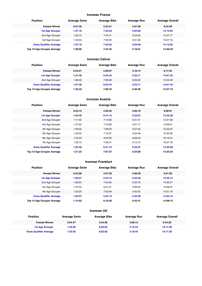#### **Ironman France**

| <b>Position</b>               | <b>Average Swim</b> | <b>Average Bike</b> | <b>Average Run</b> | <b>Average Overall</b> |
|-------------------------------|---------------------|---------------------|--------------------|------------------------|
| <b>Female Winner</b>          | 0:57:30             | 5:23:21             | 3:07:26            | 9:34:29                |
| <b>1st Age Grouper</b>        | 1:27:16             | 7:23:22             | 5:04:08            | 14:12:05               |
| 2nd Age Grouper               | 1:33:10             | 7:43:11             | 5:24:56            | 14:57:17               |
| 3rd Age Grouper               | 1:22:34             | 7:50:20             | 5:51:35            | 15:27:15               |
| <b>Kona Qualifier Average</b> | 1:27:16             | 7:23:22             | 5:04:08            | 14:12:05               |
| Top 10 Age Grouper Average    | 1:28:06             | 7:34:42             | 5:19:51            | 14:40:40               |

#### **Ironman Cairns**

| <b>Position</b>               | <b>Average Swim</b> | <b>Average Bike</b> | <b>Average Run</b> | <b>Average Overall</b> |
|-------------------------------|---------------------|---------------------|--------------------|------------------------|
| <b>Female Winner</b>          | 0:53:21             | 5:09:07             | 3:10:14            | 9:17:24                |
| <b>1st Age Grouper</b>        | 1:27:48             | 6:55:44             | 5:23:11            | 14:01:42               |
| 2nd Age Grouper               | 1:38:49             | 7:06:58             | 6:26:46            | 15:24:49               |
| <b>Kona Qualifier Average</b> | 1:27:48             | 6:55:44             | 5:23:11            | 14:01:42               |
| Top 10 Age Grouper Average    | 1:32:32             | 7:00:33             | 5:50:26            | 14:37:19               |

#### **Ironman Austria**

| <b>Position</b>               | <b>Average Swim</b> | <b>Average Bike</b> | <b>Average Run</b> | <b>Average Overall</b> |  |
|-------------------------------|---------------------|---------------------|--------------------|------------------------|--|
| <b>Female Winner</b>          | 0:53:12             | 4:56:35             | 3:05:10            | 9:00:01                |  |
| <b>1st Age Grouper</b>        | 1:03:40             | 6:41:12             | 5:23:07            | 13:45:28               |  |
| 2nd Age Grouper               | 1:11:49             | 7:14:06             | 5:21:41            | 14:21:38               |  |
| 3rd Age Grouper               | 1:51:55             | 7:12:58             | 5:31:17            | 14:58:41               |  |
| 4th Age Grouper               | 1:30:50             | 7:28:23             | 5:57:32            | 15:23:07               |  |
| 5th Age Grouper               | 1:53:55             | 7:13:27             | 5:54:48            | 15:34:35               |  |
| 6th Age Grouper               | 1:24:23             | 8:04:56             | 6:29:43            | 16:15:01               |  |
| 7th Age Grouper               | 1:52:14             | 7:59:31             | 6:12:13            | 16:27:16               |  |
| <b>Kona Qualifier Average</b> | 1:03:40             | 6:41:12             | 5:23:07            | 13:45:28               |  |
| Top 10 Age Grouper Average    | 1:21:23             | 7:07:37             | 5:34:06            | 14:34:24               |  |
|                               |                     |                     |                    |                        |  |

## **Ironman Frankfurt**

| <b>Position</b>               | <b>Average Swim</b> | <b>Average Bike</b> | <b>Average Run</b> | <b>Average Overall</b> |
|-------------------------------|---------------------|---------------------|--------------------|------------------------|
| <b>Female Winner</b>          | 0:52:09             | 4:57:30             | 3:06:29            | 9:01:28                |
| <b>1st Age Grouper</b>        | 1:03:57             | 5:44:13             | 5:45:59            | 13:55:13               |
| 2nd Age Grouper               | 1:26:54             | 7:04:26             | 5:45:16            | 14:30:41               |
| 3rd Age Grouper               | 1:37:33             | 6:51:41             | 5:20:53            | 14:09:07               |
| 4th Age Grouper               | 1:32:25             | 7:02:49             | 5:45:32            | 14:31:18               |
| <b>Kona Qualifier Average</b> | 1:03:57             | 5:44:13             | 5:45:59            | 13:55:13               |
| Top 10 Age Grouper Average    | 1:14:52             | 6:16:26             | 5:43:41            | 14:08:15               |

## **Ironman UK**

| <b>Position</b>               | <b>Average Swim</b> | <b>Average Bike</b> | Average Run | <b>Average Overall</b> |
|-------------------------------|---------------------|---------------------|-------------|------------------------|
| <b>Female Winner</b>          | 0:54:47             | 5:34:58             | 3:09:13     | 9:44:26                |
| <b>1st Age Grouper</b>        | 1:25:50             | 8:02:02             | 5:19:44     | 15:11:38               |
| <b>Kona Qualifier Average</b> | 1:25:50             | 8:02:02             | 5:19:44     | 15:11:38               |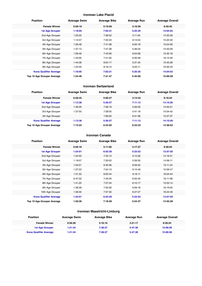## **Ironman Lake Placid**

| <b>Position</b>               | <b>Average Swim</b> | <b>Average Bike</b> | <b>Average Run</b> | <b>Average Overall</b> |
|-------------------------------|---------------------|---------------------|--------------------|------------------------|
| <b>Female Winner</b>          | 0:58:19             | 5:19:59             | 3:16:59            | 9:40:45                |
| <b>1st Age Grouper</b>        | 1:18:05             | 7:02:21             | 5:25:35            | 14:04:03               |
| 2nd Age Grouper               | 1:25:20             | 7:38:52             | 5:11:04            | 14:32:29               |
| 3rd Age Grouper               | 1:14:57             | 7:32:23             | 6:13:54            | 15:22:40               |
| 4th Age Grouper               | 1:26:48             | 7:41:08             | 6:00:18            | 15:24:56               |
| 5th Age Grouper               | 1:37:13             | 7:47:28             | 5:46:34            | 15:33:29               |
| 6th Age Grouper               | 1:26:46             | 7:43:56             | 6:04:08            | 15:32:18               |
| 7th Age Grouper               | 1:43:05             | 7:41:02             | 6:30:48            | 16:12:49               |
| 8th Age Grouper               | 1:44:38             | 8:04:17             | 5:31:34            | 15:42:28               |
| 9th Age Grouper               | 1:24:30             | 8:16:15             | 6:25:11            | 16:30:43               |
| <b>Kona Qualifier Average</b> | 1:18:05             | 7:02:21             | 5:25:35            | 14:04:03               |
| Top 10 Age Grouper Average    | 1:24:46             | 7:31:47             | 5:45:00            | 15:00:28               |

#### **Ironman Switzerland**

| <b>Position</b>               | <b>Average Swim</b> | <b>Average Bike</b> | <b>Average Run</b> | <b>Average Overall</b> |  |
|-------------------------------|---------------------|---------------------|--------------------|------------------------|--|
| <b>Female Winner</b>          | 0:58:45             | 5:00:37             | 3:13:43            | 9:16:24                |  |
| <b>1st Age Grouper</b>        | 1:13:36             | 5:36:57             | 7:11:13            | 14:10:26               |  |
| 2nd Age Grouper               | 1:46:26             | 7:28:19             | 5:26:29            | 14:55:01               |  |
| 3rd Age Grouper               | 1:37:50             | 7:28:55             | 5:41:18            | 15:04:42               |  |
| 4th Age Grouper               |                     | 7:06:05             | 6:31:36            | 15:37:37               |  |
| <b>Kona Qualifier Average</b> | 1:13:36             | 5:36:57             | 7:11:13            | 14:10:26               |  |
| Top 10 Age Grouper Average    | 1:15:24             | 6:24:02             | 6:33:33            | 14:36:03               |  |

#### **Ironman Canada**

| <b>Female Winner</b><br>0:56:18<br>5:11:00<br>3:17:27<br>9:28:52<br>1:24:01<br>5:23:53<br>13:57:50<br><b>1st Age Grouper</b><br>6:55:29<br>2nd Age Grouper<br>7:23:12<br>5:15:26<br>14:16:51<br>1:24:55<br>3rd Age Grouper<br>7:30:02<br>5:39:35<br>14:56:11<br>1:19:07<br>4th Age Grouper<br>1:04:01<br>6:40:36<br>6:59:42<br>15:11:24<br>5th Age Grouper<br>1:27:22<br>7:54:13<br>6:15:49<br>15:56:47<br>6th Age Grouper<br>1:31:32<br>8:02:44<br>6:16:11<br>16:04:44<br>7:49:34<br>16:11:08<br>7th Age Grouper<br>0:47:32<br>6:25:34<br>8th Age Grouper<br>1:41:20<br>7:37:24<br>6:10:17<br>15:53:14<br>9th Age Grouper<br>1:36:36<br>7:20:26<br>6:56:18<br>16:19:05<br>10th Age Grouper<br>7:57:30<br>1:38:30<br>6:27:27<br>16:24:49<br>1:24:01<br>5:23:53<br>13:57:50<br><b>Kona Qualifier Average</b><br>6:55:29<br>1:20:26<br>14:55:28<br>Top 10 Age Grouper Average<br>7:18:59<br>5:54:37 | <b>Position</b> | <b>Average Swim</b> | <b>Average Bike</b> | <b>Average Run</b> | <b>Average Overall</b> |
|---------------------------------------------------------------------------------------------------------------------------------------------------------------------------------------------------------------------------------------------------------------------------------------------------------------------------------------------------------------------------------------------------------------------------------------------------------------------------------------------------------------------------------------------------------------------------------------------------------------------------------------------------------------------------------------------------------------------------------------------------------------------------------------------------------------------------------------------------------------------------------------------------|-----------------|---------------------|---------------------|--------------------|------------------------|
|                                                                                                                                                                                                                                                                                                                                                                                                                                                                                                                                                                                                                                                                                                                                                                                                                                                                                                   |                 |                     |                     |                    |                        |
|                                                                                                                                                                                                                                                                                                                                                                                                                                                                                                                                                                                                                                                                                                                                                                                                                                                                                                   |                 |                     |                     |                    |                        |
|                                                                                                                                                                                                                                                                                                                                                                                                                                                                                                                                                                                                                                                                                                                                                                                                                                                                                                   |                 |                     |                     |                    |                        |
|                                                                                                                                                                                                                                                                                                                                                                                                                                                                                                                                                                                                                                                                                                                                                                                                                                                                                                   |                 |                     |                     |                    |                        |
|                                                                                                                                                                                                                                                                                                                                                                                                                                                                                                                                                                                                                                                                                                                                                                                                                                                                                                   |                 |                     |                     |                    |                        |
|                                                                                                                                                                                                                                                                                                                                                                                                                                                                                                                                                                                                                                                                                                                                                                                                                                                                                                   |                 |                     |                     |                    |                        |
|                                                                                                                                                                                                                                                                                                                                                                                                                                                                                                                                                                                                                                                                                                                                                                                                                                                                                                   |                 |                     |                     |                    |                        |
|                                                                                                                                                                                                                                                                                                                                                                                                                                                                                                                                                                                                                                                                                                                                                                                                                                                                                                   |                 |                     |                     |                    |                        |
|                                                                                                                                                                                                                                                                                                                                                                                                                                                                                                                                                                                                                                                                                                                                                                                                                                                                                                   |                 |                     |                     |                    |                        |
|                                                                                                                                                                                                                                                                                                                                                                                                                                                                                                                                                                                                                                                                                                                                                                                                                                                                                                   |                 |                     |                     |                    |                        |
|                                                                                                                                                                                                                                                                                                                                                                                                                                                                                                                                                                                                                                                                                                                                                                                                                                                                                                   |                 |                     |                     |                    |                        |
|                                                                                                                                                                                                                                                                                                                                                                                                                                                                                                                                                                                                                                                                                                                                                                                                                                                                                                   |                 |                     |                     |                    |                        |
|                                                                                                                                                                                                                                                                                                                                                                                                                                                                                                                                                                                                                                                                                                                                                                                                                                                                                                   |                 |                     |                     |                    |                        |

## **Ironman Maastricht-Limburg**

| <b>Position</b>               | <b>Average Swim</b> | <b>Average Bike</b> | Average Run | <b>Average Overall</b> |
|-------------------------------|---------------------|---------------------|-------------|------------------------|
| <b>Female Winner</b>          | 0:56:26             | 5:16:10             | 3:21:17     | 9:39:24                |
| <b>1st Age Grouper</b>        | 1:21:34             | 7:38:27             | 5:47:38     | 15:00:28               |
| <b>Kona Qualifier Average</b> | 1:21:34             | 7:38:27             | 5:47:38     | 15:00:28               |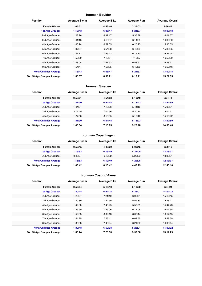#### **Ironman Boulder**

| <b>Position</b>               | <b>Average Swim</b> | <b>Average Bike</b> | <b>Average Run</b> | <b>Average Overall</b> |
|-------------------------------|---------------------|---------------------|--------------------|------------------------|
| <b>Female Winner</b>          | 1:05:01             | 4:56:46             | 3:27:02            | 9:36:47                |
| <b>1st Age Grouper</b>        | 1:13:43             | 6:06:47             | 5:21:37            | 13:00:18               |
| 2nd Age Grouper               | 1:28:26             | 6:37:17             | 5:35:39            | 14:01:57               |
| 3rd Age Grouper               | 1:41:13             | 6:19:07             | 6:14:25            | 14:32:30               |
| 4th Age Grouper               | 1:46:24             | 6:57:05             | 6:20:25            | 15:35:55               |
| 5th Age Grouper               | 1:37:57             | 6:54:33             | 6:43:39            | 15:39:55               |
| 6th Age Grouper               | 1:41:13             | 7:55:22             | 6:15:10            | 16:21:44               |
| 7th Age Grouper               | 1:53:50             | 7:10:54             | 7:16:37            | 16:50:09               |
| 8th Age Grouper               | 1:43:04             | 7:51:52             | 6:53:51            | 16:48:21               |
| 9th Age Grouper               | 1:54:44             | 7:55:35             | 6:40:50            | 16:52:16               |
| <b>Kona Qualifier Average</b> | 1:13:43             | 6:06:47             | 5:21:37            | 13:00:18               |
| Top 10 Age Grouper Average    | 1:38:57             | 6:59:21             | 6:19:21            | 15:21:35               |

#### **Ironman Sweden**

| <b>Position</b>               | <b>Average Swim</b> | <b>Average Bike</b> | <b>Average Run</b> | <b>Average Overall</b> |  |
|-------------------------------|---------------------|---------------------|--------------------|------------------------|--|
| <b>Female Winner</b>          | 0:55:01             | 4:54:58             | 3:10:40            | 9:04:11                |  |
| 1st Age Grouper               | 1:31:00             | 6:54:48             | 5:13:23            | 13:52:59               |  |
| 2nd Age Grouper               | 1:44:34             | 7:18:26             | 5:44:16            | 15:05:31               |  |
| 3rd Age Grouper               | 2:12:40             | 7:04:56             | 5:30:14            | 15:04:21               |  |
| 4th Age Grouper               | 1:27:56             | 8:16:05             | 5:15:12            | 15:10:22               |  |
| <b>Kona Qualifier Average</b> | 1:31:00             | 6:54:48             | 5:13:23            | 13:52:59               |  |
| Top 10 Age Grouper Average    | 1:40:54             | 7:15:05             | 5:27:18            | 14:38:46               |  |

#### **Ironman Copenhagen**

| <b>Position</b>               | <b>Average Swim</b> | <b>Average Bike</b> | <b>Average Run</b> | <b>Average Overall</b> |
|-------------------------------|---------------------|---------------------|--------------------|------------------------|
| <b>Female Winner</b>          | 0:50:45             | 4:45:29             | 3:09:45            | 8:50:19                |
| <b>1st Age Grouper</b>        | 1:15:53             | 6:19:49             | 4:22:05            | 12:13:07               |
| 2nd Age Grouper               | 0:45:27             | 6:17:02             | 5:25:22            | 13:33:31               |
| <b>Kona Qualifier Average</b> | 1:15:53             | 6:19:49             | 4:22:05            | 12:13:07               |
| Top 10 Age Grouper Average    | 1:03:42             | 6:18:42             | 4:47:23            | 12:45:16               |

#### **Ironman Coeur d'Alene**

| <b>Position</b>               | <b>Average Swim</b> | <b>Average Bike</b> | <b>Average Run</b> | <b>Average Overall</b> |
|-------------------------------|---------------------|---------------------|--------------------|------------------------|
| <b>Female Winner</b>          | 0:56:54             | 5:15:10             | 3:18:02            | 9:34:24                |
| <b>1st Age Grouper</b>        | 1:30:48             | 6:52:28             | 5:25:01            | 14:02:22               |
| 2nd Age Grouper               | 1:29:07             | 7:21:10             | 6:08:34            | 15:16:45               |
| 3rd Age Grouper               | 1:40:39             | 7:44:59             | 5:59:33            | 15:43:21               |
| 4th Age Grouper               | 1:42:30             | 7:48:25             | 5:52:39            | 15:44:43               |
| 5th Age Grouper               | 1:36:59             | 7:49:06             | 6:14:08            | 16:02:38               |
| 6th Age Grouper               | 1:52:03             | 8:02:13             | 6:05:44            | 16:17:15               |
| 7th Age Grouper               | 1:44:25             | 7:55:11             | 6:02:55            | 15:59:59               |
| 8th Age Grouper               | 1:36:38             | 7:43:24             | 6:21:22            | 16:08:44               |
| <b>Kona Qualifier Average</b> | 1:30:48             | 6:52:28             | 5:25:01            | 14:02:22               |
| Top 10 Age Grouper Average    | 1:35:24             | 7:25:50             | 5:53:30            | 15:12:29               |